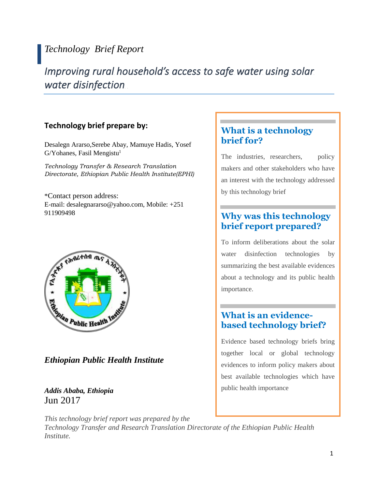## *Technology Brief Report*

# *Improving rural household's access to safe water using solar water disinfection*

### **Technology brief prepare by:**

Desalegn Ararso,Serebe Abay, Mamuye Hadis, Yosef  $G/Y$ ohanes, Fasil Mengistu<sup>1</sup>

*Technology Transfer & Research Translation Directorate, Ethiopian Public Health Institute(EPHI)*

\*Contact person address: E-mail: desalegnararso@yahoo.com, Mobile: +251 911909498



*Ethiopian Public Health Institute*

### *Addis Ababa, Ethiopia* Jun 2017

### **What is a technology brief for?**

The industries, researchers, policy makers and other stakeholders who have an interest with the technology addressed by this technology brief

### **Why was this technology brief report prepared?**

To inform deliberations about the solar water disinfection technologies by summarizing the best available evidences about a technology and its public health importance.

### **What is an evidencebased technology brief?**

Evidence based technology briefs bring together local or global technology evidences to inform policy makers about best available technologies which have public health importance

*This technology brief report was prepared by the Technology Transfer and Research Translation Directorate of the Ethiopian Public Health Institute.*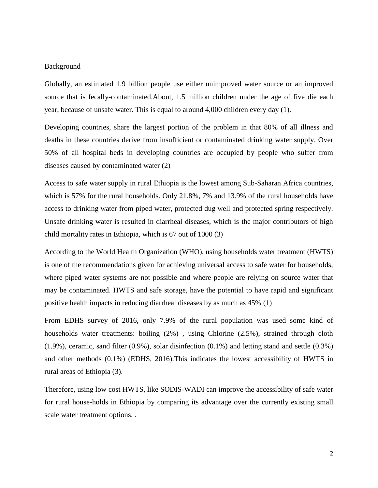#### Background

Globally, an estimated 1.9 billion people use either unimproved water source or an improved source that is fecally-contaminated.About, 1.5 million children under the age of five die each year, because of unsafe water. This is equal to around 4,000 children every day (1).

Developing countries, share the largest portion of the problem in that 80% of all illness and deaths in these countries derive from insufficient or contaminated drinking water supply. Over 50% of all hospital beds in developing countries are occupied by people who suffer from diseases caused by contaminated water (2)

Access to safe water supply in rural Ethiopia is the lowest among Sub-Saharan Africa countries, which is 57% for the rural households. Only 21.8%, 7% and 13.9% of the rural households have access to drinking water from piped water, protected dug well and protected spring respectively. Unsafe drinking water is resulted in diarrheal diseases, which is the major contributors of high child mortality rates in Ethiopia, which is 67 out of 1000 (3)

According to the World Health Organization (WHO), using households water treatment (HWTS) is one of the recommendations given for achieving universal access to safe water for households, where piped water systems are not possible and where people are relying on source water that may be contaminated. HWTS and safe storage, have the potential to have rapid and significant positive health impacts in reducing diarrheal diseases by as much as 45% (1)

From EDHS survey of 2016, only 7.9% of the rural population was used some kind of households water treatments: boiling (2%) , using Chlorine (2.5%), strained through cloth  $(1.9\%)$ , ceramic, sand filter  $(0.9\%)$ , solar disinfection  $(0.1\%)$  and letting stand and settle  $(0.3\%)$ and other methods (0.1%) (EDHS, 2016).This indicates the lowest accessibility of HWTS in rural areas of Ethiopia (3).

Therefore, using low cost HWTS, like SODIS-WADI can improve the accessibility of safe water for rural house-holds in Ethiopia by comparing its advantage over the currently existing small scale water treatment options. .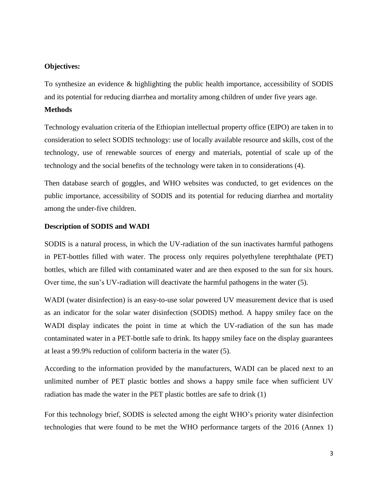#### **Objectives:**

To synthesize an evidence & highlighting the public health importance, accessibility of SODIS and its potential for reducing diarrhea and mortality among children of under five years age.

#### **Methods**

Technology evaluation criteria of the Ethiopian intellectual property office (EIPO) are taken in to consideration to select SODIS technology: use of locally available resource and skills, cost of the technology, use of renewable sources of energy and materials, potential of scale up of the technology and the social benefits of the technology were taken in to considerations (4).

Then database search of goggles, and WHO websites was conducted, to get evidences on the public importance, accessibility of SODIS and its potential for reducing diarrhea and mortality among the under-five children.

#### **Description of SODIS and WADI**

SODIS is a natural process, in which the UV-radiation of the sun inactivates harmful pathogens in PET-bottles filled with water. The process only requires polyethylene terephthalate (PET) bottles, which are filled with contaminated water and are then exposed to the sun for six hours. Over time, the sun's UV-radiation will deactivate the harmful pathogens in the water (5).

WADI (water disinfection) is an easy-to-use solar powered UV measurement device that is used as an indicator for the solar water disinfection (SODIS) method. A happy smiley face on the WADI display indicates the point in time at which the UV-radiation of the sun has made contaminated water in a PET-bottle safe to drink. Its happy smiley face on the display guarantees at least a 99.9% reduction of coliform bacteria in the water (5).

According to the information provided by the manufacturers, WADI can be placed next to an unlimited number of PET plastic bottles and shows a happy smile face when sufficient UV radiation has made the water in the PET plastic bottles are safe to drink (1)

For this technology brief, SODIS is selected among the eight WHO's priority water disinfection technologies that were found to be met the WHO performance targets of the 2016 (Annex 1)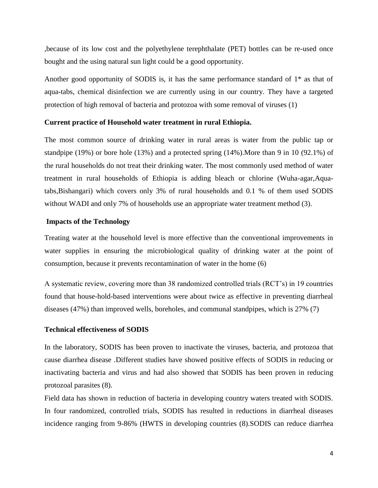,because of its low cost and the polyethylene terephthalate (PET) bottles can be re-used once bought and the using natural sun light could be a good opportunity.

Another good opportunity of SODIS is, it has the same performance standard of  $1^*$  as that of aqua-tabs, chemical disinfection we are currently using in our country. They have a targeted protection of high removal of bacteria and protozoa with some removal of viruses (1)

#### **Current practice of Household water treatment in rural Ethiopia.**

The most common source of drinking water in rural areas is water from the public tap or standpipe (19%) or bore hole (13%) and a protected spring (14%).More than 9 in 10 (92.1%) of the rural households do not treat their drinking water. The most commonly used method of water treatment in rural households of Ethiopia is adding bleach or chlorine (Wuha-agar,Aquatabs,Bishangari) which covers only 3% of rural households and 0.1 % of them used SODIS without WADI and only 7% of households use an appropriate water treatment method (3).

#### **Impacts of the Technology**

Treating water at the household level is more effective than the conventional improvements in water supplies in ensuring the microbiological quality of drinking water at the point of consumption, because it prevents recontamination of water in the home (6)

A systematic review, covering more than 38 randomized controlled trials (RCT's) in 19 countries found that house-hold-based interventions were about twice as effective in preventing diarrheal diseases (47%) than improved wells, boreholes, and communal standpipes, which is 27% (7)

#### **Technical effectiveness of SODIS**

In the laboratory, SODIS has been proven to inactivate the viruses, bacteria, and protozoa that cause diarrhea disease .Different studies have showed positive effects of SODIS in reducing or inactivating bacteria and virus and had also showed that SODIS has been proven in reducing protozoal parasites (8).

Field data has shown in reduction of bacteria in developing country waters treated with SODIS. In four randomized, controlled trials, SODIS has resulted in reductions in diarrheal diseases incidence ranging from 9-86% (HWTS in developing countries (8).SODIS can reduce diarrhea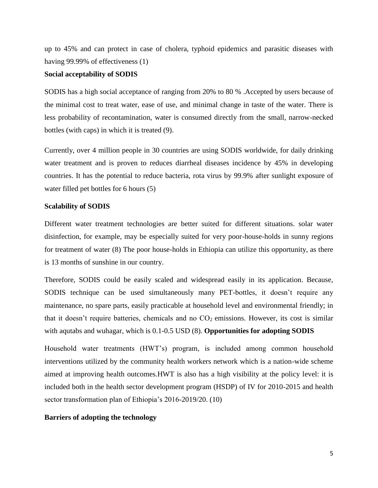up to 45% and can protect in case of cholera, typhoid epidemics and parasitic diseases with having 99.99% of effectiveness (1)

#### **Social acceptability of SODIS**

SODIS has a high social acceptance of ranging from 20% to 80 % .Accepted by users because of the minimal cost to treat water, ease of use, and minimal change in taste of the water. There is less probability of recontamination, water is consumed directly from the small, narrow-necked bottles (with caps) in which it is treated (9).

Currently, over 4 million people in 30 countries are using SODIS worldwide, for daily drinking water treatment and is proven to reduces diarrheal diseases incidence by 45% in developing countries. It has the potential to reduce bacteria, rota virus by 99.9% after sunlight exposure of water filled pet bottles for 6 hours (5)

#### **Scalability of SODIS**

Different water treatment technologies are better suited for different situations. solar water disinfection, for example, may be especially suited for very poor-house-holds in sunny regions for treatment of water (8) The poor house-holds in Ethiopia can utilize this opportunity, as there is 13 months of sunshine in our country.

Therefore, SODIS could be easily scaled and widespread easily in its application. Because, SODIS technique can be used simultaneously many PET-bottles, it doesn't require any maintenance, no spare parts, easily practicable at household level and environmental friendly; in that it doesn't require batteries, chemicals and no  $CO<sub>2</sub>$  emissions. However, its cost is similar with aqutabs and wuhagar, which is 0.1-0.5 USD (8). **Opportunities for adopting SODIS**

Household water treatments (HWT's) program, is included among common household interventions utilized by the community health workers network which is a nation-wide scheme aimed at improving health outcomes.HWT is also has a high visibility at the policy level: it is included both in the health sector development program (HSDP) of IV for 2010-2015 and health sector transformation plan of Ethiopia's 2016-2019/20. (10)

#### **Barriers of adopting the technology**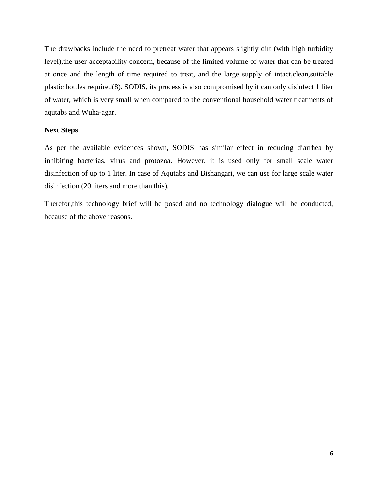The drawbacks include the need to pretreat water that appears slightly dirt (with high turbidity level),the user acceptability concern, because of the limited volume of water that can be treated at once and the length of time required to treat, and the large supply of intact,clean,suitable plastic bottles required(8). SODIS, its process is also compromised by it can only disinfect 1 liter of water, which is very small when compared to the conventional household water treatments of aqutabs and Wuha-agar.

#### **Next Steps**

As per the available evidences shown, SODIS has similar effect in reducing diarrhea by inhibiting bacterias, virus and protozoa. However, it is used only for small scale water disinfection of up to 1 liter. In case of Aqutabs and Bishangari, we can use for large scale water disinfection (20 liters and more than this).

Therefor,this technology brief will be posed and no technology dialogue will be conducted, because of the above reasons.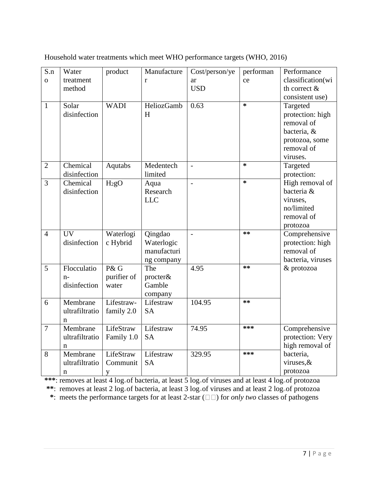| S.n            | Water           | product           | Manufacture  | Cost/person/ye           | performan | Performance       |
|----------------|-----------------|-------------------|--------------|--------------------------|-----------|-------------------|
| $\overline{O}$ | treatment       |                   | $\mathbf{r}$ | ar                       | ce        | classification(wi |
|                | method          |                   |              | <b>USD</b>               |           | th correct $\&$   |
|                |                 |                   |              |                          |           | consistent use)   |
| $\mathbf{1}$   | Solar           | <b>WADI</b>       | HeliozGamb   | 0.63                     | $\ast$    | Targeted          |
|                | disinfection    |                   | H            |                          |           | protection: high  |
|                |                 |                   |              |                          |           | removal of        |
|                |                 |                   |              |                          |           | bacteria, &       |
|                |                 |                   |              |                          |           | protozoa, some    |
|                |                 |                   |              |                          |           | removal of        |
|                |                 |                   |              |                          |           | viruses.          |
| $\overline{2}$ | Chemical        | Aqutabs           | Medentech    | $\overline{a}$           | $\ast$    | Targeted          |
|                | disinfection    |                   | limited      |                          |           | protection:       |
| $\overline{3}$ | Chemical        | H <sub>2</sub> gO | Aqua         | $\overline{\phantom{a}}$ | $\ast$    | High removal of   |
|                | disinfection    |                   | Research     |                          |           | bacteria &        |
|                |                 |                   | <b>LLC</b>   |                          |           | viruses,          |
|                |                 |                   |              |                          |           | no/limited        |
|                |                 |                   |              |                          |           | removal of        |
|                |                 |                   |              |                          |           | protozoa          |
| $\overline{4}$ | $\overline{UV}$ | Waterlogi         | Qingdao      | $\overline{a}$           | $**$      | Comprehensive     |
|                | disinfection    | c Hybrid          | Waterlogic   |                          |           | protection: high  |
|                |                 |                   | manufacturi  |                          |           | removal of        |
|                |                 |                   | ng company   |                          |           | bacteria, viruses |
| 5              | Flocculatio     | P&G               | The          | 4.95                     | $**$      | & protozoa        |
|                | $n-$            | purifier of       | procter&     |                          |           |                   |
|                | disinfection    | water             | Gamble       |                          |           |                   |
|                |                 |                   | company      |                          | $**$      |                   |
| 6              | Membrane        | Lifestraw-        | Lifestraw    | 104.95                   |           |                   |
|                | ultrafiltratio  | family 2.0        | <b>SA</b>    |                          |           |                   |
|                | n               |                   |              |                          |           |                   |
| $\overline{7}$ | Membrane        | LifeStraw         | Lifestraw    | 74.95                    | ***       | Comprehensive     |
|                | ultrafiltratio  | Family 1.0        | <b>SA</b>    |                          |           | protection: Very  |
|                | n               |                   |              |                          |           | high removal of   |
| 8              | Membrane        | LifeStraw         | Lifestraw    | 329.95                   | ***       | bacteria,         |
|                | ultrafiltratio  | Communit          | <b>SA</b>    |                          |           | viruses, &        |
|                | n               | y                 |              |                          |           | protozoa          |

Household water treatments which meet WHO performance targets (WHO, 2016)

\*\*\*: removes at least 4 log<sub>10</sub> of bacteria, at least 5 log<sub>10</sub> of viruses and at least 4 log<sub>10</sub> of protozoa

\*\*: removes at least 2 log<sub><sup>00</sub> of bacteria, at least 3 log<sub><sup>00</sub> of viruses and at least 2 log<sub><sup>00</sub> of protozoa</sub></sub></sup></sub></sup></sub></sup>

 $*$ : meets the performance targets for at least 2-star ( $\square$ ) for *only two* classes of pathogens